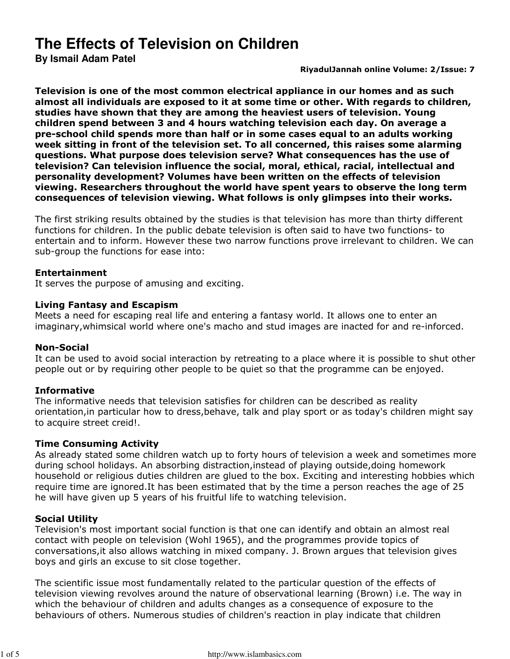# **The Effects of Television on Children**

**By Ismail Adam Patel**

### RiyadulJannah online Volume: 2/Issue: 7

Television is one of the most common electrical appliance in our homes and as such almost all individuals are exposed to it at some time or other. With regards to children, studies have shown that they are among the heaviest users of television. Young children spend between 3 and 4 hours watching television each day. On average a pre-school child spends more than half or in some cases equal to an adults working week sitting in front of the television set. To all concerned, this raises some alarming questions. What purpose does television serve? What consequences has the use of television? Can television influence the social, moral, ethical, racial, intellectual and personality development? Volumes have been written on the effects of television viewing. Researchers throughout the world have spent years to observe the long term consequences of television viewing. What follows is only glimpses into their works.

The first striking results obtained by the studies is that television has more than thirty different functions for children. In the public debate television is often said to have two functions- to entertain and to inform. However these two narrow functions prove irrelevant to children. We can sub-group the functions for ease into:

## Entertainment

It serves the purpose of amusing and exciting.

## Living Fantasy and Escapism

Meets a need for escaping real life and entering a fantasy world. It allows one to enter an imaginary,whimsical world where one's macho and stud images are inacted for and re-inforced.

## Non-Social

It can be used to avoid social interaction by retreating to a place where it is possible to shut other people out or by requiring other people to be quiet so that the programme can be enjoyed.

## Informative

The informative needs that television satisfies for children can be described as reality orientation,in particular how to dress,behave, talk and play sport or as today's children might say to acquire street creid!.

## Time Consuming Activity

As already stated some children watch up to forty hours of television a week and sometimes more during school holidays. An absorbing distraction,instead of playing outside,doing homework household or religious duties children are glued to the box. Exciting and interesting hobbies which require time are ignored.It has been estimated that by the time a person reaches the age of 25 he will have given up 5 years of his fruitful life to watching television.

## Social Utility

Television's most important social function is that one can identify and obtain an almost real contact with people on television (Wohl 1965), and the programmes provide topics of conversations,it also allows watching in mixed company. J. Brown argues that television gives boys and girls an excuse to sit close together.

The scientific issue most fundamentally related to the particular question of the effects of television viewing revolves around the nature of observational learning (Brown) i.e. The way in which the behaviour of children and adults changes as a consequence of exposure to the behaviours of others. Numerous studies of children's reaction in play indicate that children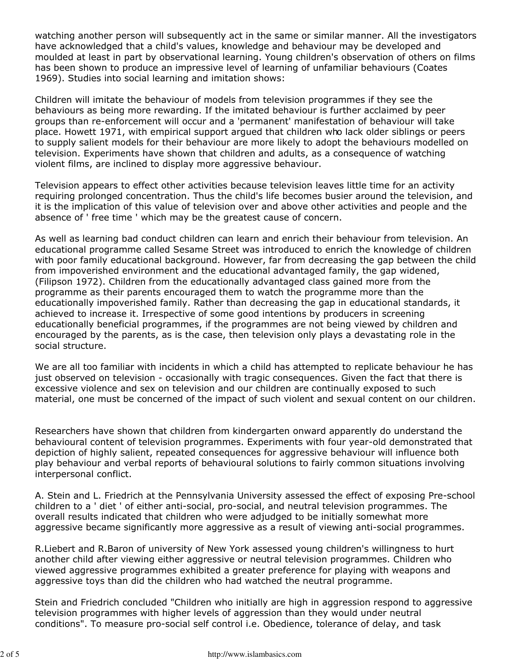watching another person will subsequently act in the same or similar manner. All the investigators have acknowledged that a child's values, knowledge and behaviour may be developed and moulded at least in part by observational learning. Young children's observation of others on films has been shown to produce an impressive level of learning of unfamiliar behaviours (Coates 1969). Studies into social learning and imitation shows:

Children will imitate the behaviour of models from television programmes if they see the behaviours as being more rewarding. If the imitated behaviour is further acclaimed by peer groups than re-enforcement will occur and a 'permanent' manifestation of behaviour will take place. Howett 1971, with empirical support argued that children who lack older siblings or peers to supply salient models for their behaviour are more likely to adopt the behaviours modelled on television. Experiments have shown that children and adults, as a consequence of watching violent films, are inclined to display more aggressive behaviour.

Television appears to effect other activities because television leaves little time for an activity requiring prolonged concentration. Thus the child's life becomes busier around the television, and it is the implication of this value of television over and above other activities and people and the absence of ' free time ' which may be the greatest cause of concern.

As well as learning bad conduct children can learn and enrich their behaviour from television. An educational programme called Sesame Street was introduced to enrich the knowledge of children with poor family educational background. However, far from decreasing the gap between the child from impoverished environment and the educational advantaged family, the gap widened, (Filipson 1972). Children from the educationally advantaged class gained more from the programme as their parents encouraged them to watch the programme more than the educationally impoverished family. Rather than decreasing the gap in educational standards, it achieved to increase it. Irrespective of some good intentions by producers in screening educationally beneficial programmes, if the programmes are not being viewed by children and encouraged by the parents, as is the case, then television only plays a devastating role in the social structure.

We are all too familiar with incidents in which a child has attempted to replicate behaviour he has just observed on television - occasionally with tragic consequences. Given the fact that there is excessive violence and sex on television and our children are continually exposed to such material, one must be concerned of the impact of such violent and sexual content on our children.

Researchers have shown that children from kindergarten onward apparently do understand the behavioural content of television programmes. Experiments with four year-old demonstrated that depiction of highly salient, repeated consequences for aggressive behaviour will influence both play behaviour and verbal reports of behavioural solutions to fairly common situations involving interpersonal conflict.

A. Stein and L. Friedrich at the Pennsylvania University assessed the effect of exposing Pre-school children to a ' diet ' of either anti-social, pro-social, and neutral television programmes. The overall results indicated that children who were adjudged to be initially somewhat more aggressive became significantly more aggressive as a result of viewing anti-social programmes.

R.Liebert and R.Baron of university of New York assessed young children's willingness to hurt another child after viewing either aggressive or neutral television programmes. Children who viewed aggressive programmes exhibited a greater preference for playing with weapons and aggressive toys than did the children who had watched the neutral programme.

Stein and Friedrich concluded "Children who initially are high in aggression respond to aggressive television programmes with higher levels of aggression than they would under neutral conditions". To measure pro-social self control i.e. Obedience, tolerance of delay, and task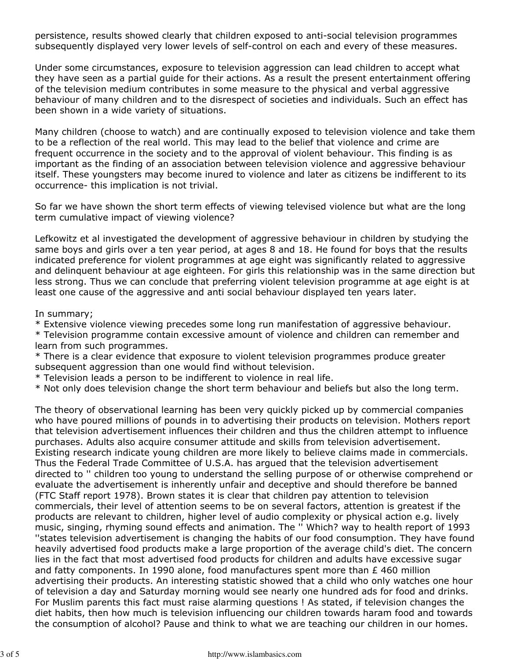persistence, results showed clearly that children exposed to anti-social television programmes subsequently displayed very lower levels of self-control on each and every of these measures.

Under some circumstances, exposure to television aggression can lead children to accept what they have seen as a partial guide for their actions. As a result the present entertainment offering of the television medium contributes in some measure to the physical and verbal aggressive behaviour of many children and to the disrespect of societies and individuals. Such an effect has been shown in a wide variety of situations.

Many children (choose to watch) and are continually exposed to television violence and take them to be a reflection of the real world. This may lead to the belief that violence and crime are frequent occurrence in the society and to the approval of violent behaviour. This finding is as important as the finding of an association between television violence and aggressive behaviour itself. These youngsters may become inured to violence and later as citizens be indifferent to its occurrence- this implication is not trivial.

So far we have shown the short term effects of viewing televised violence but what are the long term cumulative impact of viewing violence?

Lefkowitz et al investigated the development of aggressive behaviour in children by studying the same boys and girls over a ten year period, at ages 8 and 18. He found for boys that the results indicated preference for violent programmes at age eight was significantly related to aggressive and delinquent behaviour at age eighteen. For girls this relationship was in the same direction but less strong. Thus we can conclude that preferring violent television programme at age eight is at least one cause of the aggressive and anti social behaviour displayed ten years later.

In summary;

\* Extensive violence viewing precedes some long run manifestation of aggressive behaviour.

\* Television programme contain excessive amount of violence and children can remember and learn from such programmes.

\* There is a clear evidence that exposure to violent television programmes produce greater subsequent aggression than one would find without television.

\* Television leads a person to be indifferent to violence in real life.

\* Not only does television change the short term behaviour and beliefs but also the long term.

The theory of observational learning has been very quickly picked up by commercial companies who have poured millions of pounds in to advertising their products on television. Mothers report that television advertisement influences their children and thus the children attempt to influence purchases. Adults also acquire consumer attitude and skills from television advertisement. Existing research indicate young children are more likely to believe claims made in commercials. Thus the Federal Trade Committee of U.S.A. has argued that the television advertisement directed to '' children too young to understand the selling purpose of or otherwise comprehend or evaluate the advertisement is inherently unfair and deceptive and should therefore be banned (FTC Staff report 1978). Brown states it is clear that children pay attention to television commercials, their level of attention seems to be on several factors, attention is greatest if the products are relevant to children, higher level of audio complexity or physical action e.g. lively music, singing, rhyming sound effects and animation. The '' Which? way to health report of 1993 ''states television advertisement is changing the habits of our food consumption. They have found heavily advertised food products make a large proportion of the average child's diet. The concern lies in the fact that most advertised food products for children and adults have excessive sugar and fatty components. In 1990 alone, food manufactures spent more than  $E$  460 million advertising their products. An interesting statistic showed that a child who only watches one hour of television a day and Saturday morning would see nearly one hundred ads for food and drinks. For Muslim parents this fact must raise alarming questions ! As stated, if television changes the diet habits, then how much is television influencing our children towards haram food and towards the consumption of alcohol? Pause and think to what we are teaching our children in our homes.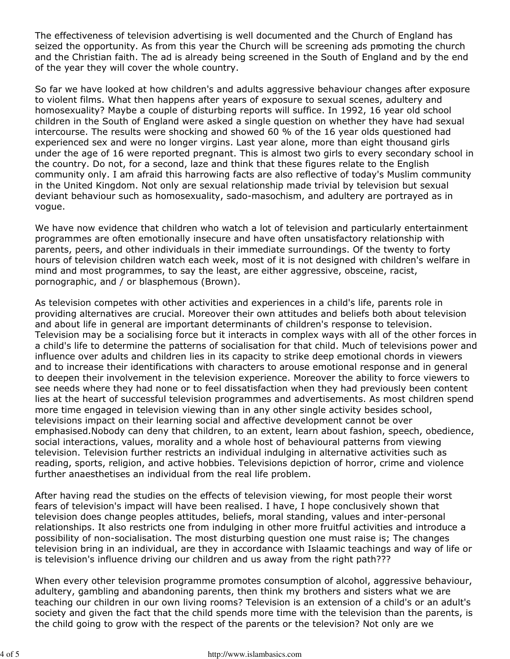The effectiveness of television advertising is well documented and the Church of England has seized the opportunity. As from this year the Church will be screening ads promoting the church and the Christian faith. The ad is already being screened in the South of England and by the end of the year they will cover the whole country.

So far we have looked at how children's and adults aggressive behaviour changes after exposure to violent films. What then happens after years of exposure to sexual scenes, adultery and homosexuality? Maybe a couple of disturbing reports will suffice. In 1992, 16 year old school children in the South of England were asked a single question on whether they have had sexual intercourse. The results were shocking and showed 60 % of the 16 year olds questioned had experienced sex and were no longer virgins. Last year alone, more than eight thousand girls under the age of 16 were reported pregnant. This is almost two girls to every secondary school in the country. Do not, for a second, laze and think that these figures relate to the English community only. I am afraid this harrowing facts are also reflective of today's Muslim community in the United Kingdom. Not only are sexual relationship made trivial by television but sexual deviant behaviour such as homosexuality, sado-masochism, and adultery are portrayed as in vogue.

We have now evidence that children who watch a lot of television and particularly entertainment programmes are often emotionally insecure and have often unsatisfactory relationship with parents, peers, and other individuals in their immediate surroundings. Of the twenty to forty hours of television children watch each week, most of it is not designed with children's welfare in mind and most programmes, to say the least, are either aggressive, obsceine, racist, pornographic, and / or blasphemous (Brown).

As television competes with other activities and experiences in a child's life, parents role in providing alternatives are crucial. Moreover their own attitudes and beliefs both about television and about life in general are important determinants of children's response to television. Television may be a socialising force but it interacts in complex ways with all of the other forces in a child's life to determine the patterns of socialisation for that child. Much of televisions power and influence over adults and children lies in its capacity to strike deep emotional chords in viewers and to increase their identifications with characters to arouse emotional response and in general to deepen their involvement in the television experience. Moreover the ability to force viewers to see needs where they had none or to feel dissatisfaction when they had previously been content lies at the heart of successful television programmes and advertisements. As most children spend more time engaged in television viewing than in any other single activity besides school, televisions impact on their learning social and affective development cannot be over emphasised.Nobody can deny that children, to an extent, learn about fashion, speech, obedience, social interactions, values, morality and a whole host of behavioural patterns from viewing television. Television further restricts an individual indulging in alternative activities such as reading, sports, religion, and active hobbies. Televisions depiction of horror, crime and violence further anaesthetises an individual from the real life problem.

After having read the studies on the effects of television viewing, for most people their worst fears of television's impact will have been realised. I have, I hope conclusively shown that television does change peoples attitudes, beliefs, moral standing, values and inter-personal relationships. It also restricts one from indulging in other more fruitful activities and introduce a possibility of non-socialisation. The most disturbing question one must raise is; The changes television bring in an individual, are they in accordance with Islaamic teachings and way of life or is television's influence driving our children and us away from the right path???

When every other television programme promotes consumption of alcohol, aggressive behaviour, adultery, gambling and abandoning parents, then think my brothers and sisters what we are teaching our children in our own living rooms? Television is an extension of a child's or an adult's society and given the fact that the child spends more time with the television than the parents, is the child going to grow with the respect of the parents or the television? Not only are we